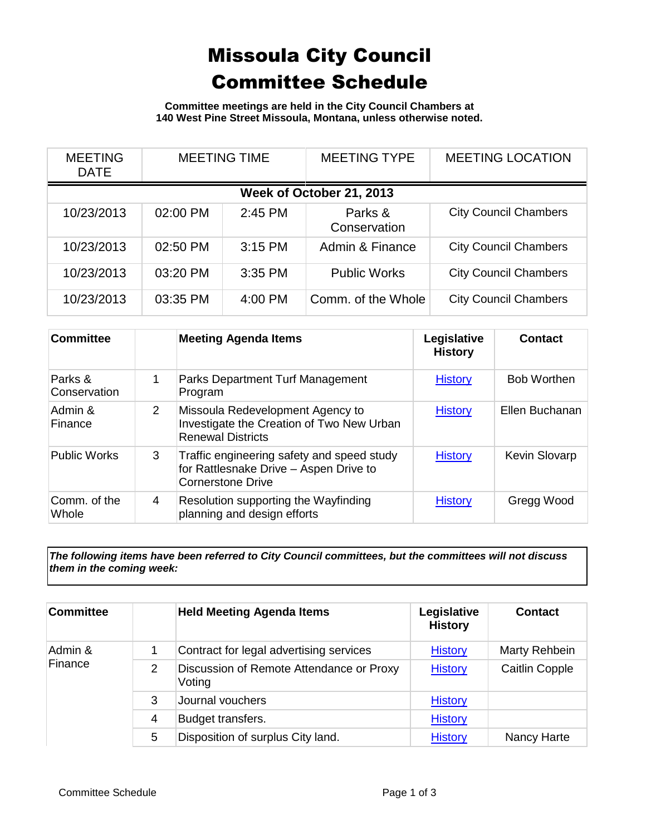## Missoula City Council Committee Schedule

**Committee meetings are held in the City Council Chambers at 140 West Pine Street Missoula, Montana, unless otherwise noted.**

| <b>MEETING</b><br><b>DATE</b> | <b>MEETING TIME</b> |           | <b>MEETING TYPE</b>     | <b>MEETING LOCATION</b>      |  |  |
|-------------------------------|---------------------|-----------|-------------------------|------------------------------|--|--|
| Week of October 21, 2013      |                     |           |                         |                              |  |  |
| 10/23/2013                    | 02:00 PM            | 2:45 PM   | Parks &<br>Conservation | <b>City Council Chambers</b> |  |  |
| 10/23/2013                    | 02:50 PM            | $3:15$ PM | Admin & Finance         | <b>City Council Chambers</b> |  |  |
| 10/23/2013                    | 03:20 PM            | 3:35 PM   | <b>Public Works</b>     | <b>City Council Chambers</b> |  |  |
| 10/23/2013                    | 03:35 PM            | 4:00 PM   | Comm. of the Whole      | <b>City Council Chambers</b> |  |  |

| <b>Committee</b>        |   | <b>Meeting Agenda Items</b>                                                                                      | Legislative<br><b>History</b> | Contact              |
|-------------------------|---|------------------------------------------------------------------------------------------------------------------|-------------------------------|----------------------|
| Parks &<br>Conservation |   | Parks Department Turf Management<br>Program                                                                      | <b>History</b>                | <b>Bob Worthen</b>   |
| Admin &<br>Finance      | 2 | Missoula Redevelopment Agency to<br>Investigate the Creation of Two New Urban<br><b>Renewal Districts</b>        | <b>History</b>                | Ellen Buchanan       |
| <b>Public Works</b>     | 3 | Traffic engineering safety and speed study<br>for Rattlesnake Drive - Aspen Drive to<br><b>Cornerstone Drive</b> | <b>History</b>                | <b>Kevin Slovarp</b> |
| Comm. of the<br>Whole   | 4 | Resolution supporting the Wayfinding<br>planning and design efforts                                              | <b>History</b>                | Gregg Wood           |

*The following items have been referred to City Council committees, but the committees will not discuss them in the coming week:*

| <b>Committee</b>   |   | <b>Held Meeting Agenda Items</b>                   | Legislative<br><b>History</b> | <b>Contact</b>        |
|--------------------|---|----------------------------------------------------|-------------------------------|-----------------------|
| Admin &<br>Finance |   | Contract for legal advertising services            | <b>History</b>                | Marty Rehbein         |
|                    | 2 | Discussion of Remote Attendance or Proxy<br>Voting | <b>History</b>                | <b>Caitlin Copple</b> |
|                    | 3 | Journal vouchers                                   | <b>History</b>                |                       |
|                    | 4 | Budget transfers.                                  | <b>History</b>                |                       |
|                    | 5 | Disposition of surplus City land.                  | <b>History</b>                | Nancy Harte           |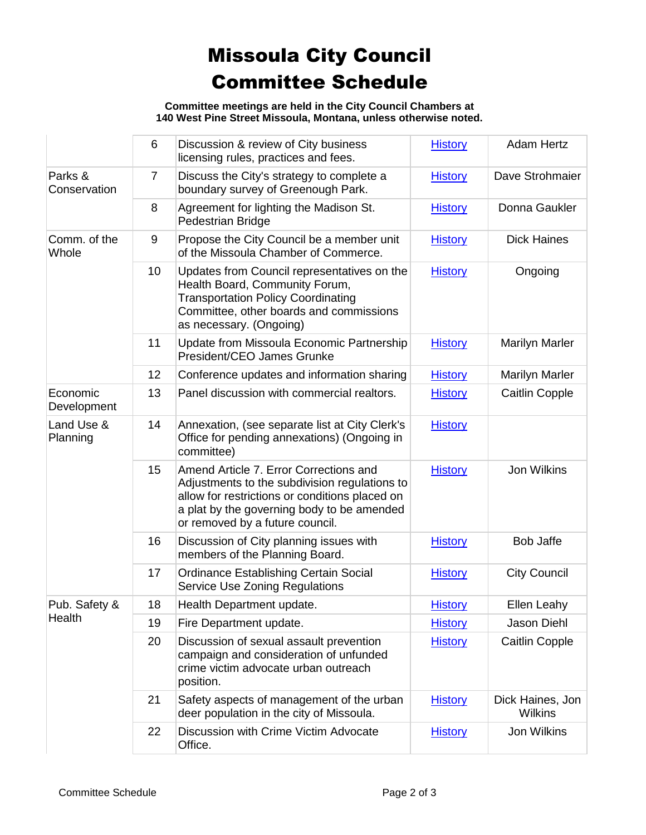## Missoula City Council Committee Schedule

**Committee meetings are held in the City Council Chambers at 140 West Pine Street Missoula, Montana, unless otherwise noted.**

|                         | 6              | Discussion & review of City business<br>licensing rules, practices and fees.                                                                                                                                               | <b>History</b> | <b>Adam Hertz</b>           |
|-------------------------|----------------|----------------------------------------------------------------------------------------------------------------------------------------------------------------------------------------------------------------------------|----------------|-----------------------------|
| Parks &<br>Conservation | $\overline{7}$ | Discuss the City's strategy to complete a<br>boundary survey of Greenough Park.                                                                                                                                            | <b>History</b> | Dave Strohmaier             |
|                         | 8              | Agreement for lighting the Madison St.<br>Pedestrian Bridge                                                                                                                                                                | <b>History</b> | Donna Gaukler               |
| Comm. of the<br>Whole   | 9              | Propose the City Council be a member unit<br>of the Missoula Chamber of Commerce.                                                                                                                                          | <b>History</b> | <b>Dick Haines</b>          |
|                         | 10             | Updates from Council representatives on the<br>Health Board, Community Forum,<br><b>Transportation Policy Coordinating</b><br>Committee, other boards and commissions<br>as necessary. (Ongoing)                           | <b>History</b> | Ongoing                     |
|                         | 11             | Update from Missoula Economic Partnership<br>President/CEO James Grunke                                                                                                                                                    | <b>History</b> | <b>Marilyn Marler</b>       |
|                         | 12             | Conference updates and information sharing                                                                                                                                                                                 | <b>History</b> | <b>Marilyn Marler</b>       |
| Economic<br>Development | 13             | Panel discussion with commercial realtors.                                                                                                                                                                                 | <b>History</b> | <b>Caitlin Copple</b>       |
| Land Use &<br>Planning  | 14             | Annexation, (see separate list at City Clerk's<br>Office for pending annexations) (Ongoing in<br>committee)                                                                                                                | <b>History</b> |                             |
|                         | 15             | Amend Article 7. Error Corrections and<br>Adjustments to the subdivision regulations to<br>allow for restrictions or conditions placed on<br>a plat by the governing body to be amended<br>or removed by a future council. | <b>History</b> | Jon Wilkins                 |
|                         | 16             | Discussion of City planning issues with<br>members of the Planning Board.                                                                                                                                                  | <b>History</b> | <b>Bob Jaffe</b>            |
|                         | 17             | <b>Ordinance Establishing Certain Social</b><br><b>Service Use Zoning Regulations</b>                                                                                                                                      | <b>History</b> | <b>City Council</b>         |
| Pub. Safety &           | 18             | Health Department update.                                                                                                                                                                                                  | <b>History</b> | Ellen Leahy                 |
| Health                  | 19             | Fire Department update.                                                                                                                                                                                                    | <b>History</b> | Jason Diehl                 |
|                         | 20             | Discussion of sexual assault prevention<br>campaign and consideration of unfunded<br>crime victim advocate urban outreach<br>position.                                                                                     | <b>History</b> | <b>Caitlin Copple</b>       |
|                         | 21             | Safety aspects of management of the urban<br>deer population in the city of Missoula.                                                                                                                                      | <b>History</b> | Dick Haines, Jon<br>Wilkins |
|                         | 22             | Discussion with Crime Victim Advocate<br>Office.                                                                                                                                                                           | <b>History</b> | Jon Wilkins                 |